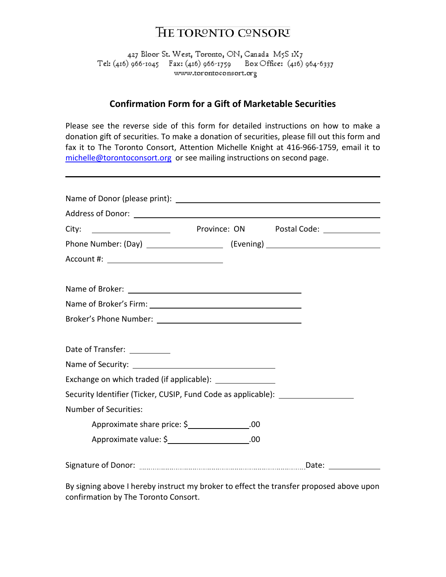## **HE TORONTO CONSORT**

427 Bloor St. West, Toronto, ON, Canada M5S 1X7 Box Office: (416) 964-6337 www.torontoconsort.org

## **Confirmation Form for a Gift of Marketable Securities**

Please see the reverse side of this form for detailed instructions on how to make a donation gift of securities. To make a donation of securities, please fill out this form and fax it to The Toronto Consort, Attention Michelle Knight at 416-966-1759, email it to [michelle@torontoconsort.org](mailto:michelle@torontoconsort.org) or see mailing instructions on second page.

| Phone Number: (Day) __________________________ (Evening) _______________________ |                                               |  |
|----------------------------------------------------------------------------------|-----------------------------------------------|--|
| Account #: ________________________________                                      |                                               |  |
|                                                                                  |                                               |  |
|                                                                                  |                                               |  |
|                                                                                  |                                               |  |
|                                                                                  |                                               |  |
|                                                                                  |                                               |  |
| Date of Transfer: __________                                                     |                                               |  |
|                                                                                  |                                               |  |
|                                                                                  |                                               |  |
| Security Identifier (Ticker, CUSIP, Fund Code as applicable):                    |                                               |  |
| <b>Number of Securities:</b>                                                     |                                               |  |
|                                                                                  | Approximate share price: \$_______________.00 |  |
|                                                                                  | Approximate value: \$_____________________.00 |  |
|                                                                                  |                                               |  |

By signing above I hereby instruct my broker to effect the transfer proposed above upon confirmation by The Toronto Consort.